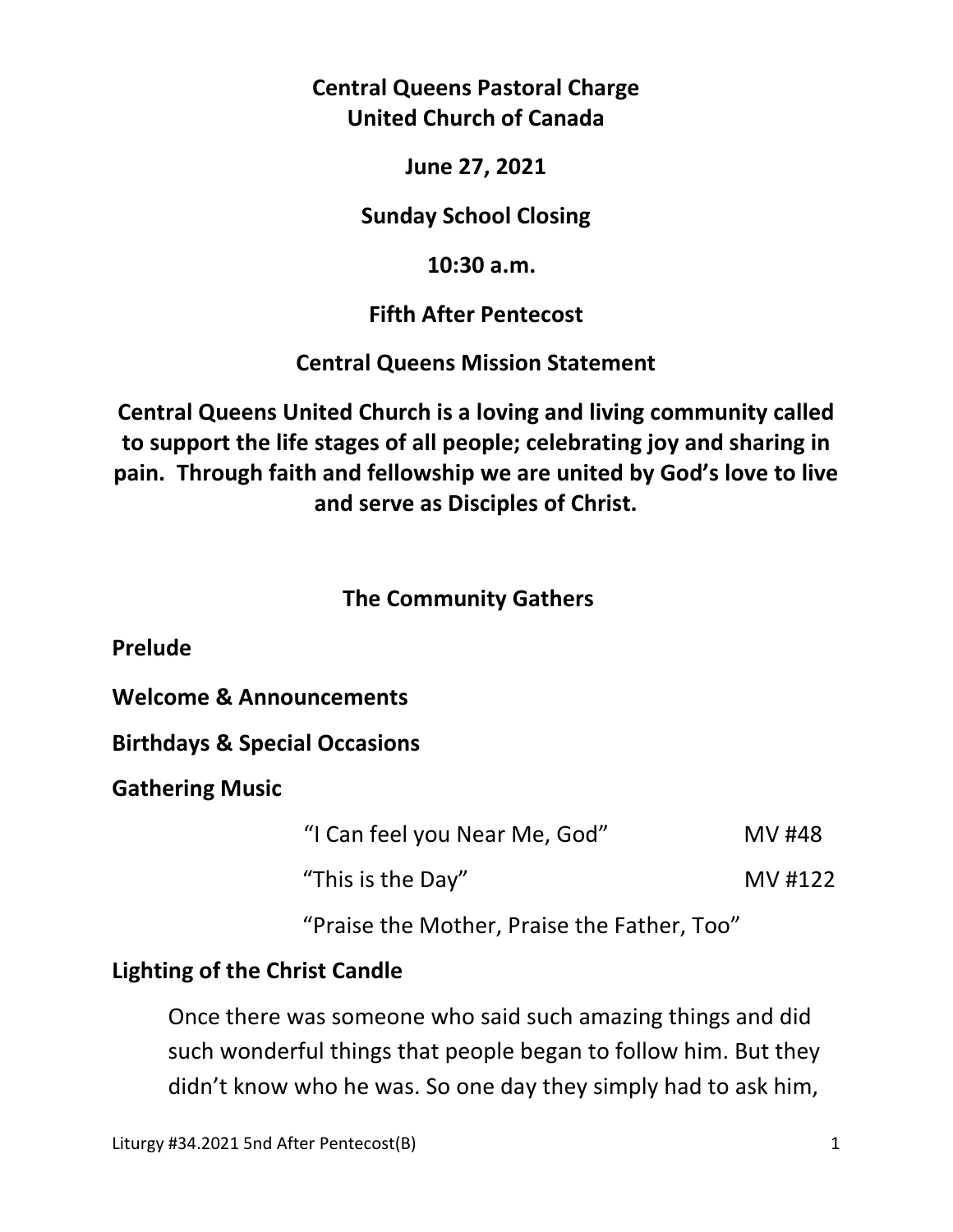# **Central Queens Pastoral Charge United Church of Canada**

## **June 27, 2021**

## **Sunday School Closing**

## **10:30 a.m.**

# **Fifth After Pentecost**

# **Central Queens Mission Statement**

**Central Queens United Church is a loving and living community called to support the life stages of all people; celebrating joy and sharing in pain. Through faith and fellowship we are united by God's love to live and serve as Disciples of Christ.**

# **The Community Gathers**

**Prelude** 

**Welcome & Announcements** 

**Birthdays & Special Occasions** 

**Gathering Music** 

"I Can feel you Near Me, God" MV #48

"This is the Day" MV #122

"Praise the Mother, Praise the Father, Too"

# **Lighting of the Christ Candle**

Once there was someone who said such amazing things and did such wonderful things that people began to follow him. But they didn't know who he was. So one day they simply had to ask him,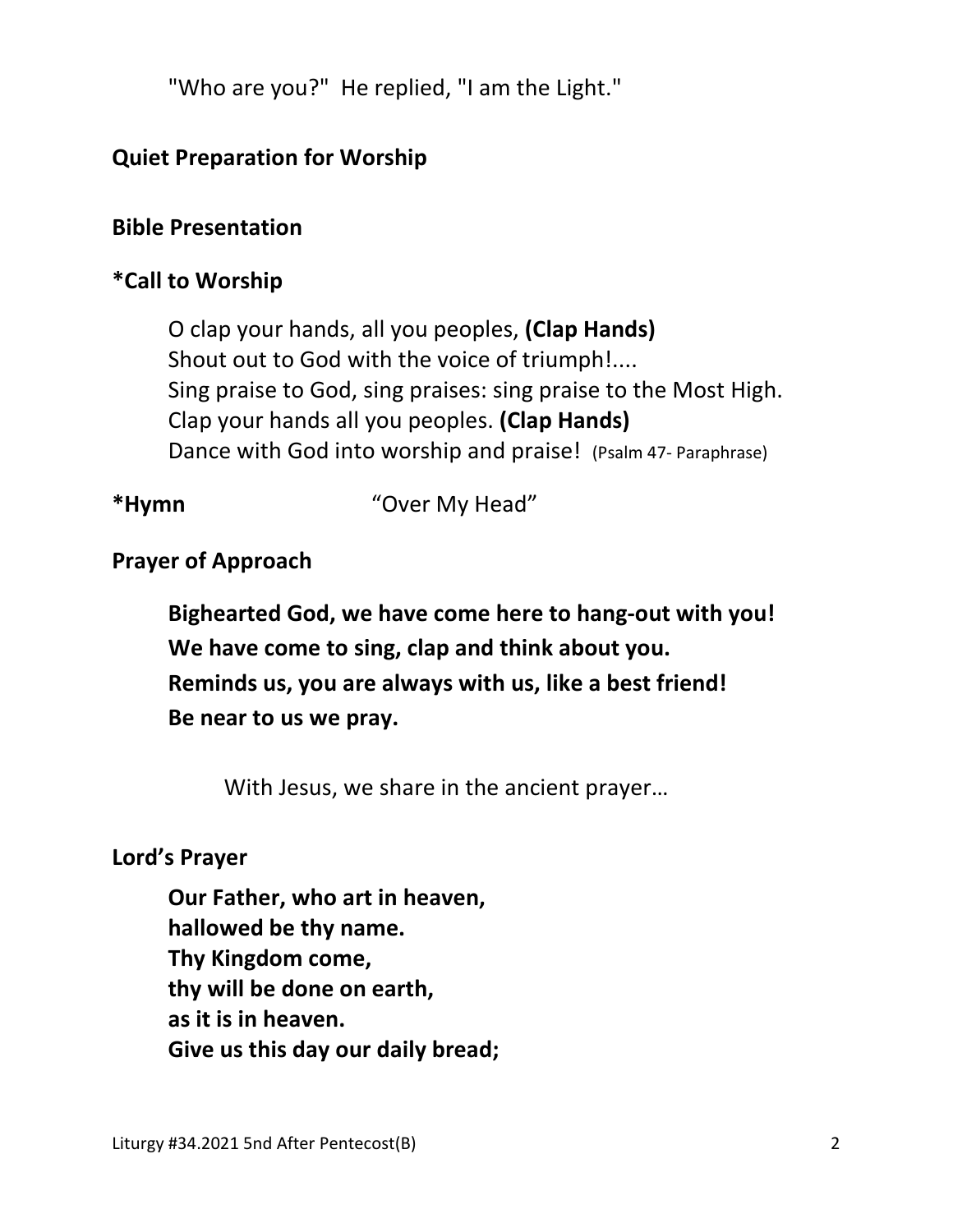"Who are you?" He replied, "I am the Light."

# **Quiet Preparation for Worship**

## **Bible Presentation**

## **\*Call to Worship**

O clap your hands, all you peoples, **(Clap Hands)**  Shout out to God with the voice of triumph!.... Sing praise to God, sing praises: sing praise to the Most High. Clap your hands all you peoples. **(Clap Hands)** Dance with God into worship and praise! (Psalm 47- Paraphrase)

**\*Hymn** "Over My Head"

# **Prayer of Approach**

 **Bighearted God, we have come here to hang-out with you! We have come to sing, clap and think about you. Reminds us, you are always with us, like a best friend! Be near to us we pray.** 

With Jesus, we share in the ancient prayer…

### **Lord's Prayer**

**Our Father, who art in heaven, hallowed be thy name. Thy Kingdom come, thy will be done on earth, as it is in heaven. Give us this day our daily bread;**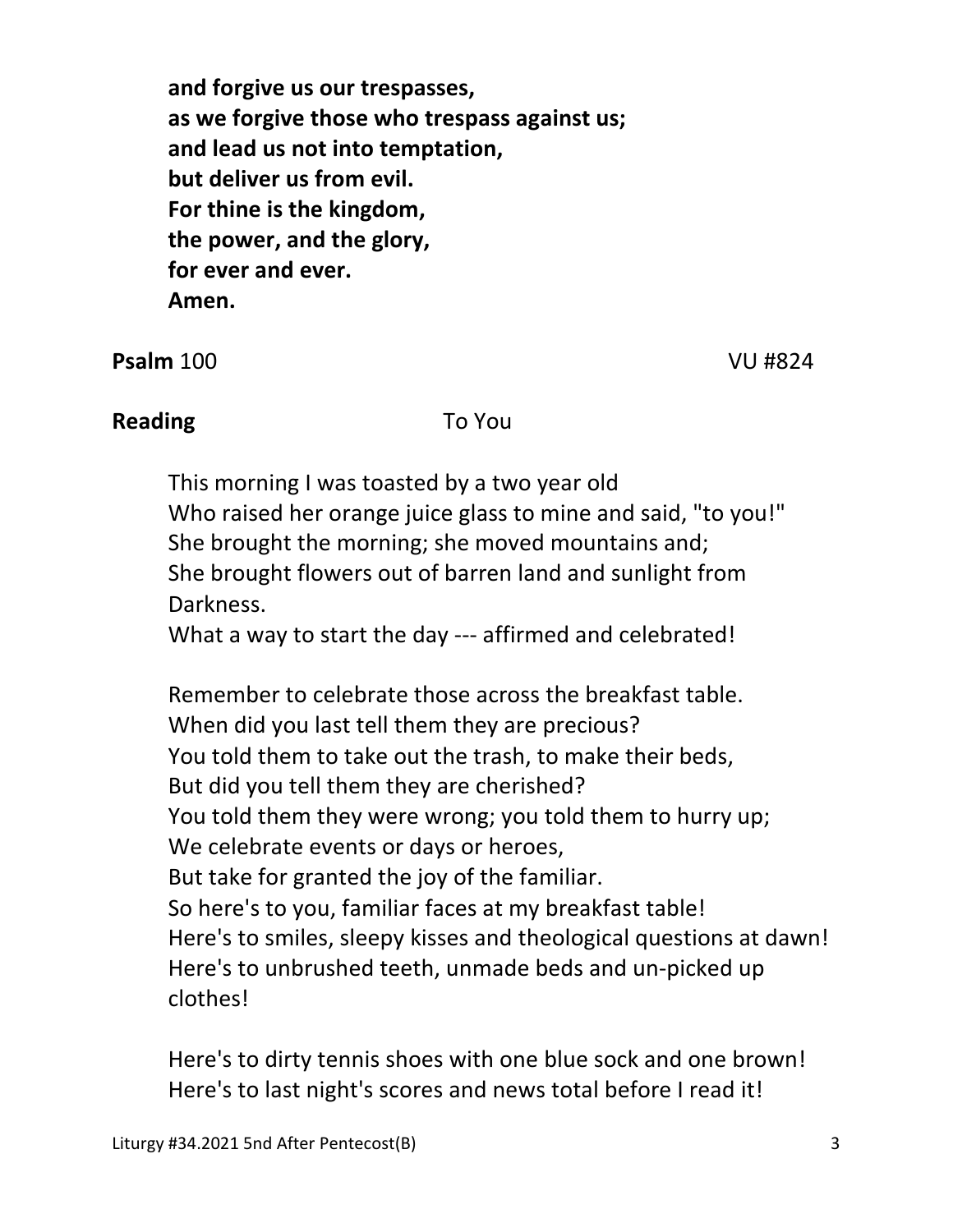**and forgive us our trespasses, as we forgive those who trespass against us; and lead us not into temptation, but deliver us from evil. For thine is the kingdom, the power, and the glory, for ever and ever. Amen.** 

**Psalm** 100 VU #824

## **Reading** To You

 This morning I was toasted by a two year old Who raised her orange juice glass to mine and said, "to you!" She brought the morning; she moved mountains and; She brought flowers out of barren land and sunlight from Darkness.

What a way to start the day --- affirmed and celebrated!

 Remember to celebrate those across the breakfast table. When did you last tell them they are precious? You told them to take out the trash, to make their beds, But did you tell them they are cherished? You told them they were wrong; you told them to hurry up; We celebrate events or days or heroes, But take for granted the joy of the familiar. So here's to you, familiar faces at my breakfast table! Here's to smiles, sleepy kisses and theological questions at dawn! Here's to unbrushed teeth, unmade beds and un-picked up clothes!

 Here's to dirty tennis shoes with one blue sock and one brown! Here's to last night's scores and news total before I read it!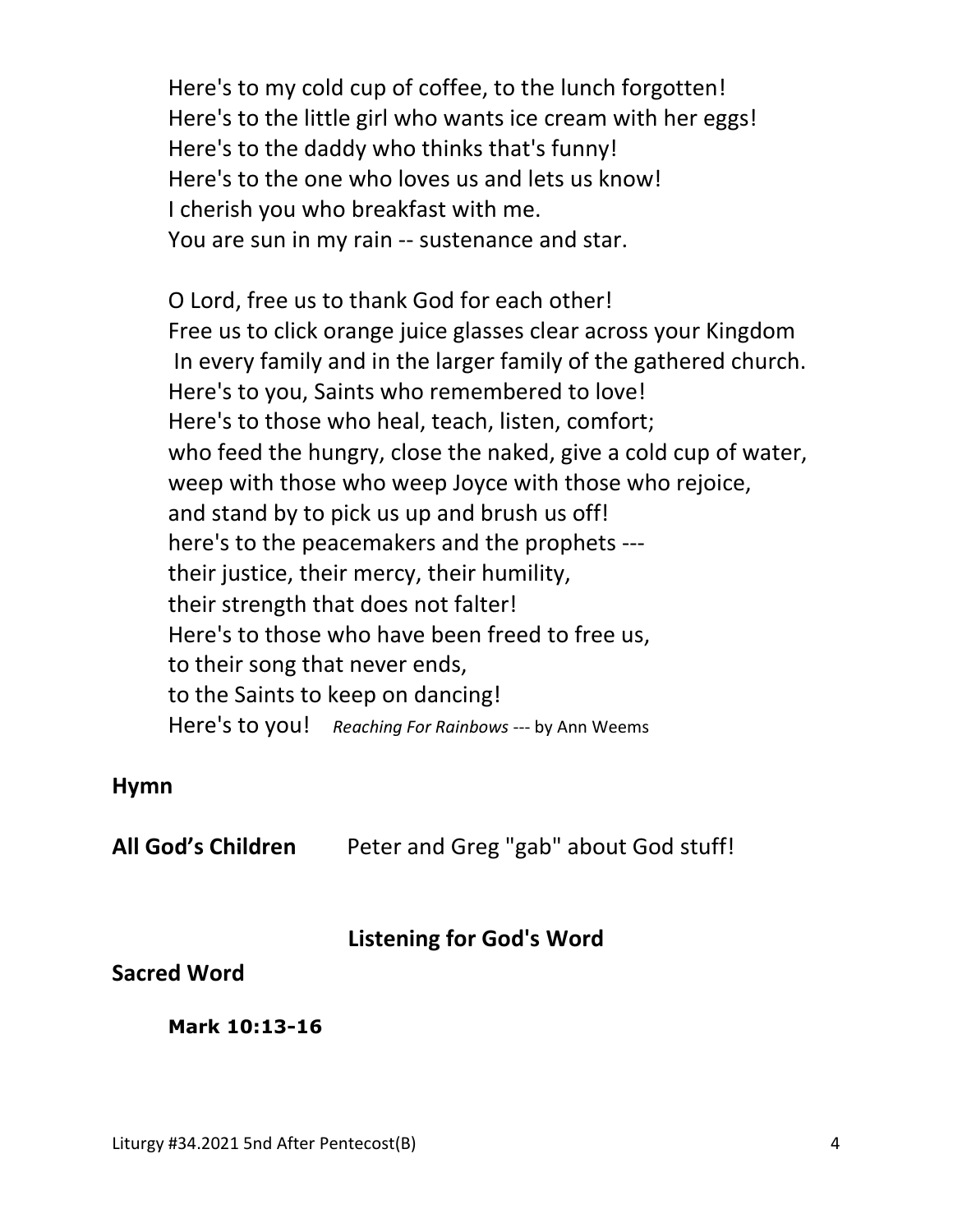Here's to my cold cup of coffee, to the lunch forgotten! Here's to the little girl who wants ice cream with her eggs! Here's to the daddy who thinks that's funny! Here's to the one who loves us and lets us know! I cherish you who breakfast with me. You are sun in my rain -- sustenance and star.

 O Lord, free us to thank God for each other! Free us to click orange juice glasses clear across your Kingdom In every family and in the larger family of the gathered church. Here's to you, Saints who remembered to love! Here's to those who heal, teach, listen, comfort; who feed the hungry, close the naked, give a cold cup of water, weep with those who weep Joyce with those who rejoice, and stand by to pick us up and brush us off! here's to the peacemakers and the prophets -- their justice, their mercy, their humility, their strength that does not falter! Here's to those who have been freed to free us, to their song that never ends, to the Saints to keep on dancing! Here's to you! *Reaching For Rainbows* --- by Ann Weems

#### **Hymn**

**All God's Children** Peter and Greg "gab" about God stuff!

#### **Listening for God's Word**

#### **Sacred Word**

 **Mark 10:13-16**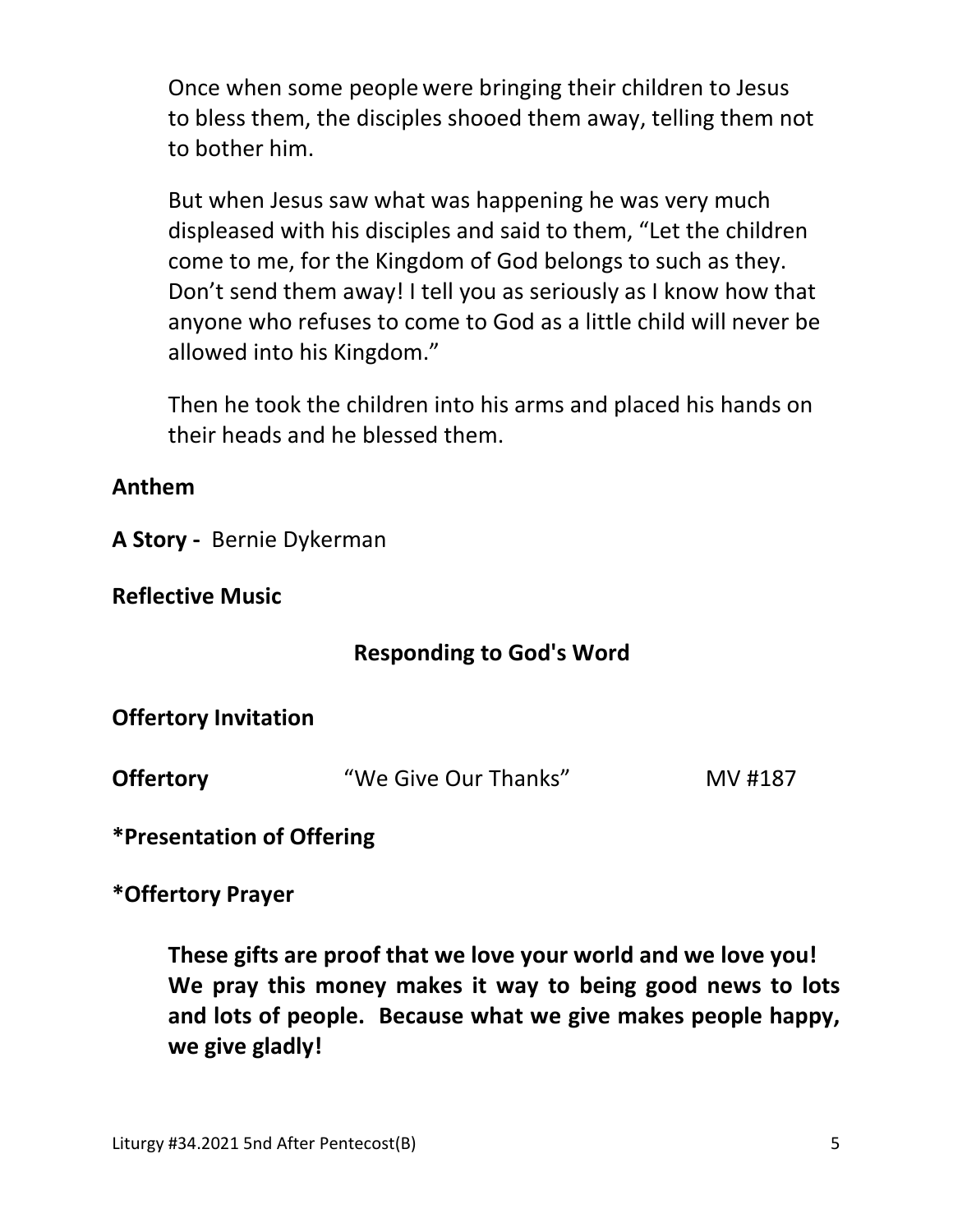Once when some people were bringing their children to Jesus to bless them, the disciples shooed them away, telling them not to bother him.

But when Jesus saw what was happening he was very much displeased with his disciples and said to them, "Let the children come to me, for the Kingdom of God belongs to such as they. Don't send them away! I tell you as seriously as I know how that anyone who refuses to come to God as a little child will never be allowed into his Kingdom."

Then he took the children into his arms and placed his hands on their heads and he blessed them.

## **Anthem**

**A Story -** Bernie Dykerman

**Reflective Music** 

## **Responding to God's Word**

**Offertory Invitation** 

**Offertory "We Give Our Thanks"** MV #187

**\*Presentation of Offering** 

**\*Offertory Prayer** 

**These gifts are proof that we love your world and we love you! We pray this money makes it way to being good news to lots and lots of people. Because what we give makes people happy, we give gladly!**